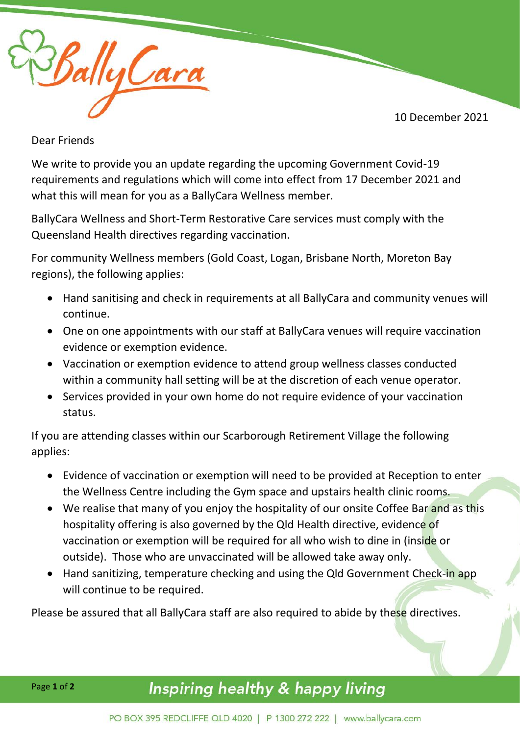10 December 2021



Dear Friends

We write to provide you an update regarding the upcoming Government Covid-19 requirements and regulations which will come into effect from 17 December 2021 and what this will mean for you as a BallyCara Wellness member.

BallyCara Wellness and Short-Term Restorative Care services must comply with the Queensland Health directives regarding vaccination.

For community Wellness members (Gold Coast, Logan, Brisbane North, Moreton Bay regions), the following applies:

- Hand sanitising and check in requirements at all BallyCara and community venues will continue.
- One on one appointments with our staff at BallyCara venues will require vaccination evidence or exemption evidence.
- Vaccination or exemption evidence to attend group wellness classes conducted within a community hall setting will be at the discretion of each venue operator.
- Services provided in your own home do not require evidence of your vaccination status.

If you are attending classes within our Scarborough Retirement Village the following applies:

- Evidence of vaccination or exemption will need to be provided at Reception to enter the Wellness Centre including the Gym space and upstairs health clinic rooms.
- We realise that many of you enjoy the hospitality of our onsite Coffee Bar and as this hospitality offering is also governed by the Qld Health directive, evidence of vaccination or exemption will be required for all who wish to dine in (inside or outside). Those who are unvaccinated will be allowed take away only.
- Hand sanitizing, temperature checking and using the Qld Government Check-in app will continue to be required.

Please be assured that all BallyCara staff are also required to abide by these directives.

## Inspiring healthy & happy living